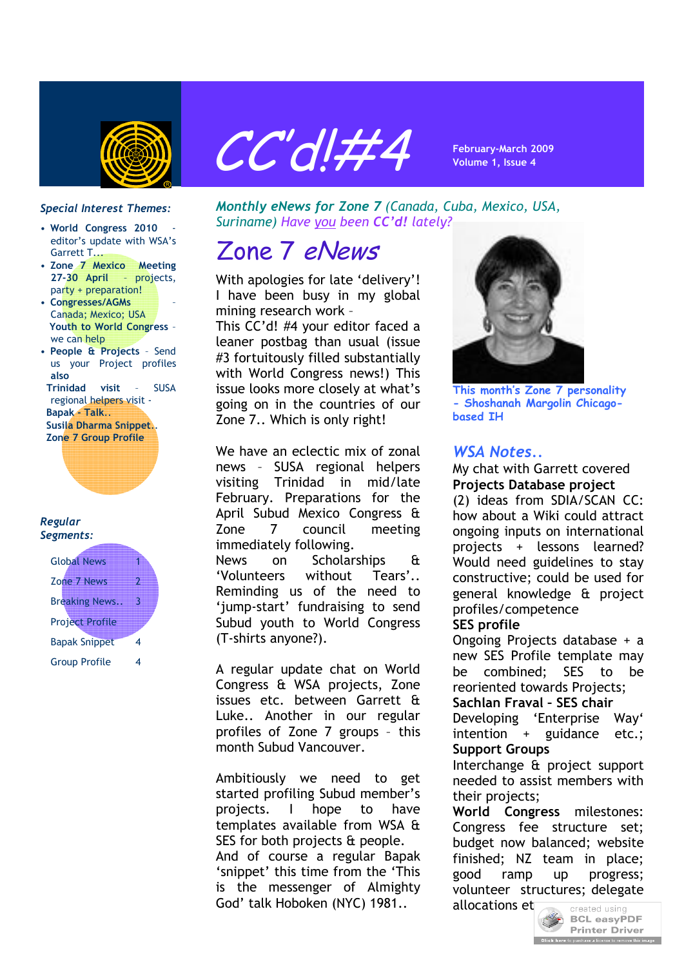



### *Special Interest Themes:*

- **World Congress 2010** editor's update with WSA's Garrett T...
- **Zone 7 Mexico Meeting 27-30 April** – projects, party + preparation!
- **Congresses/AGMs** Canada; Mexico; USA **Youth to World Congress** – we can help
- **People & Projects** Send us your Project profiles **also**

 **Trinidad visit** – SUSA regional helpers visit - **Bapak - Talk**..  **Susila Dharma Snippet**..  **Zone 7 Group Profile** 

### *Regular Segments:*

| <b>Global News</b>     |  |
|------------------------|--|
| Zone 7 News            |  |
| <b>Breaking News.</b>  |  |
| <b>Project Profile</b> |  |
| <b>Bapak Snippet</b>   |  |
| <b>Group Profile</b>   |  |

*Monthly eNews for Zone 7 (Canada, Cuba, Mexico, USA, Suriname) Have you been CC'd! lately?*

# Zone 7 eNews

With apologies for late 'delivery'! I have been busy in my global mining research work –

This CC'd! #4 your editor faced a leaner postbag than usual (issue #3 fortuitously filled substantially with World Congress news!) This issue looks more closely at what's going on in the countries of our Zone 7.. Which is only right!

We have an eclectic mix of zonal news – SUSA regional helpers visiting Trinidad in mid/late February. Preparations for the April Subud Mexico Congress & Zone 7 council meeting immediately following.

News on Scholarships & 'Volunteers without Tears'.. Reminding us of the need to 'jump-start' fundraising to send Subud youth to World Congress (T-shirts anyone?).

A regular update chat on World Congress & WSA projects, Zone issues etc. between Garrett & Luke.. Another in our regular profiles of Zone 7 groups – this month Subud Vancouver.

Ambitiously we need to get started profiling Subud member's projects. I hope to have templates available from WSA & SES for both projects & people. And of course a regular Bapak 'snippet' this time from the 'This is the messenger of Almighty God' talk Hoboken (NYC) 1981..



**This month's Zone 7 personality - Shoshanah Margolin Chicagobased IH**

### *WSA Notes..*

My chat with Garrett covered **Projects Database project**

(2) ideas from SDIA/SCAN CC: how about a Wiki could attract ongoing inputs on international projects + lessons learned? Would need guidelines to stay constructive; could be used for general knowledge & project profiles/competence

### **SES profile**

Ongoing Projects database + a new SES Profile template may be combined; SES to be reoriented towards Projects;

**Sachlan Fraval – SES chair**

Developing 'Enterprise Way' intention + guidance etc.; **Support Groups**

Interchange & project support needed to assist members with their projects;

**World Congress** milestones: Congress fee structure set; budget now balanced; website finished; NZ team in place; good ramp up progress; volunteer structures; delegate

allocations et

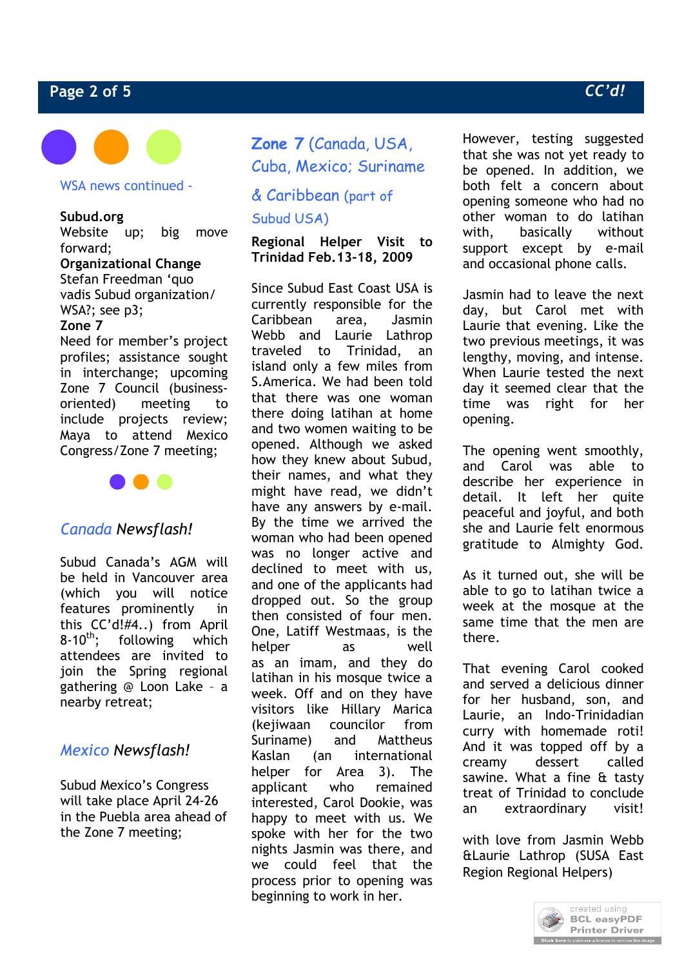# **Page 2 of 5** *CC'd!*



WSA news continued -

### **Subud.org**

Website up; big move forward;

# **Organizational Change**

Stefan Freedman 'quo vadis Subud organization/ WSA?; see p3;

### **Zone 7**

Need for member's project profiles; assistance sought in interchange; upcoming Zone 7 Council (businessoriented) meeting to include projects review; Maya to attend Mexico Congress/Zone 7 meeting;



# *Canada Newsflash!*

Subud Canada's AGM will be held in Vancouver area (which you will notice features prominently in this CC'd!#4..) from April  $8-10^{th}$ : following which attendees are invited to join the Spring regional gathering @ Loon Lake – a nearby retreat;

# *Mexico Newsflash!*

Subud Mexico's Congress will take place April 24-26 in the Puebla area ahead of the Zone 7 meeting;

# **Zone 7** (Canada, USA, Cuba, Mexico; Suriname

# & Caribbean (part of Subud USA)

**Regional Helper Visit to Trinidad Feb.13-18, 2009**

Since Subud East Coast USA is currently responsible for the Caribbean area, Jasmin Webb and Laurie Lathrop traveled to Trinidad, an island only a few miles from S.America. We had been told that there was one woman there doing latihan at home and two women waiting to be opened. Although we asked how they knew about Subud, their names, and what they might have read, we didn't have any answers by e-mail. By the time we arrived the woman who had been opened was no longer active and declined to meet with us, and one of the applicants had dropped out. So the group then consisted of four men. One, Latiff Westmaas, is the helper as well as an imam, and they do latihan in his mosque twice a week. Off and on they have visitors like Hillary Marica (kejiwaan councilor from Suriname) and Mattheus Kaslan (an international helper for Area 3). The applicant who remained interested, Carol Dookie, was happy to meet with us. We spoke with her for the two nights Jasmin was there, and we could feel that the process prior to opening was beginning to work in her.

However, testing suggested that she was not yet ready to be opened. In addition, we both felt a concern about opening someone who had no other woman to do latihan with, basically without support except by e-mail and occasional phone calls.

Jasmin had to leave the next day, but Carol met with Laurie that evening. Like the two previous meetings, it was lengthy, moving, and intense. When Laurie tested the next day it seemed clear that the time was right for her opening.

The opening went smoothly, and Carol was able to describe her experience in detail. It left her quite peaceful and joyful, and both she and Laurie felt enormous gratitude to Almighty God.

As it turned out, she will be able to go to latihan twice a week at the mosque at the same time that the men are there.

That evening Carol cooked and served a delicious dinner for her husband, son, and Laurie, an Indo-Trinidadian curry with homemade roti! And it was topped off by a creamy dessert called sawine. What a fine & tasty treat of Trinidad to conclude an extraordinary visit!

with love from Jasmin Webb &Laurie Lathrop (SUSA East Region Regional Helpers)

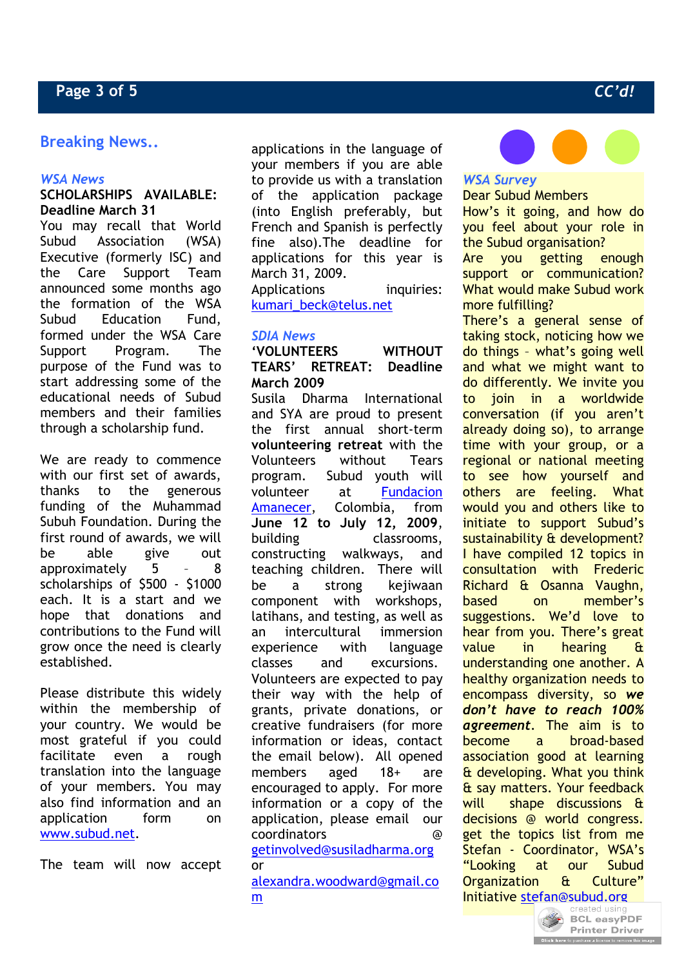# **Breaking News..**

### *WSA News*

### **SCHOLARSHIPS AVAILABLE: Deadline March 31**

You may recall that World Subud Association (WSA) Executive (formerly ISC) and the Care Support Team announced some months ago the formation of the WSA Subud Education Fund, formed under the WSA Care Support Program. The purpose of the Fund was to start addressing some of the educational needs of Subud members and their families through a scholarship fund.

We are ready to commence with our first set of awards, thanks to the generous funding of the Muhammad Subuh Foundation. During the first round of awards, we will be able give out approximately 5 – 8 scholarships of \$500 - \$1000 each. It is a start and we hope that donations and contributions to the Fund will grow once the need is clearly established.

Please distribute this widely within the membership of your country. We would be most grateful if you could facilitate even a rough translation into the language of your members. You may also find information and an application form on www.subud.net.

The team will now accept

applications in the language of your members if you are able to provide us with a translation of the application package (into English preferably, but French and Spanish is perfectly fine also).The deadline for applications for this year is March 31, 2009. Applications inquiries: kumari\_beck@telus.net

### *SDIA News*

**'VOLUNTEERS WITHOUT TEARS' RETREAT: Deadline March 2009** Susila Dharma International and SYA are proud to present the first annual short-term

**volunteering retreat** with the Volunteers without Tears program. Subud youth will volunteer at Fundacion Amanecer, Colombia, from **June 12 to July 12, 2009**, building classrooms, constructing walkways, and teaching children. There will be a strong kejiwaan component with workshops, latihans, and testing, as well as an intercultural immersion experience with language classes and excursions. Volunteers are expected to pay their way with the help of grants, private donations, or creative fundraisers (for more information or ideas, contact the email below). All opened members aged 18+ are encouraged to apply. For more information or a copy of the application, please email our coordinators @

### getinvolved@susiladharma.org or

alexandra.woodward@gmail.co m



# *WSA Survey*

Dear Subud Members How's it going, and how do you feel about your role in the Subud organisation? Are you getting enough support or communication? What would make Subud work more fulfilling?

There's a general sense of taking stock, noticing how we do things – what's going well and what we might want to do differently. We invite you to join in a worldwide conversation (if you aren't already doing so), to arrange time with your group, or a regional or national meeting to see how yourself and others are feeling. What would you and others like to initiate to support Subud's sustainability & development? I have compiled 12 topics in consultation with Frederic Richard & Osanna Vaughn, based on member's suggestions. We'd love to hear from you. There's great value in hearing & understanding one another. A healthy organization needs to encompass diversity, so *we don't have to reach 100% agreement*. The aim is to become a broad-based association good at learning & developing. What you think & say matters. Your feedback will shape discussions & decisions @ world congress. get the topics list from me Stefan - Coordinator, WSA's "Looking at our Subud Organization & Culture" **Initiative st[efan@subud.org](http://www.pdfonline.com/easypdf/?gad=CLjUiqcCEgjbNejkqKEugRjG27j-AyCw_-AP)**<br>Created using

**BCL easyPDF Printer Driver Click here** to purchase a license to remove this image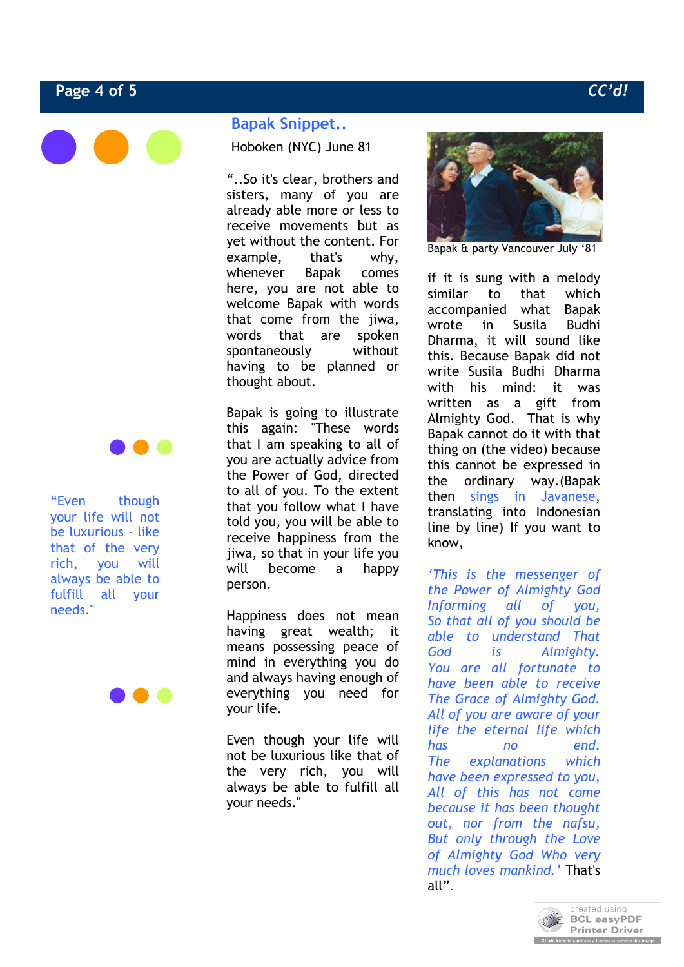# **Page 4 of 5** *CC'd!*





"Even though your life will not be luxurious - like that of the very rich, you will always be able to fulfill all your needs."

### **Bapak Snippet..**

Hoboken (NYC) June 81

"..So it's clear, brothers and sisters, many of you are already able more or less to receive movements but as yet without the content. For example, that's why, whenever Bapak comes here, you are not able to welcome Bapak with words that come from the jiwa, words that are spoken spontaneously without having to be planned or thought about.

Bapak is going to illustrate this again: "These words that I am speaking to all of you are actually advice from the Power of God, directed to all of you. To the extent that you follow what I have told you, you will be able to receive happiness from the jiwa, so that in your life you will become a happy person.

Happiness does not mean having great wealth; it means possessing peace of mind in everything you do and always having enough of everything you need for your life.

Even though your life will not be luxurious like that of the very rich, you will always be able to fulfill all your needs."



Bapak & party Vancouver July '81

if it is sung with a melody similar to that which accompanied what Bapak wrote in Susila Budhi Dharma, it will sound like this. Because Bapak did not write Susila Budhi Dharma with his mind: it was written as a gift from Almighty God. That is why Bapak cannot do it with that thing on (the video) because this cannot be expressed in the ordinary way.(Bapak then sings in Javanese, translating into Indonesian line by line) If you want to know,

*'This is the messenger of the Power of Almighty God Informing all of you, So that all of you should be able to understand That God is Almighty. You are all fortunate to have been able to receive The Grace of Almighty God. All of you are aware of your life the eternal life which has no end. The explanations which have been expressed to you, All of this has not come because it has been thought out, nor from the nafsu, But only through the Love of Almighty God Who very much loves mankind.'* That's all".